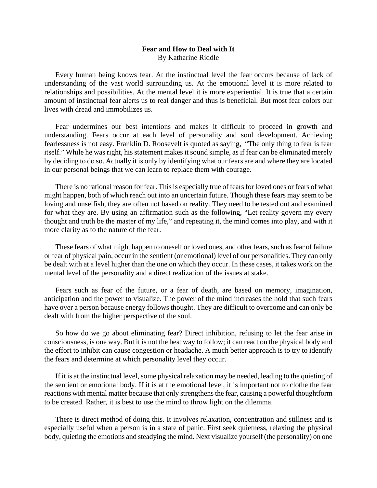## **Fear and How to Deal with It**  By Katharine Riddle

 Every human being knows fear. At the instinctual level the fear occurs because of lack of understanding of the vast world surrounding us. At the emotional level it is more related to relationships and possibilities. At the mental level it is more experiential. It is true that a certain amount of instinctual fear alerts us to real danger and thus is beneficial. But most fear colors our lives with dread and immobilizes us.

 Fear undermines our best intentions and makes it difficult to proceed in growth and understanding. Fears occur at each level of personality and soul development. Achieving fearlessness is not easy. Franklin D. Roosevelt is quoted as saying, "The only thing to fear is fear itself." While he was right, his statement makes it sound simple, as if fear can be eliminated merely by deciding to do so. Actually it is only by identifying what our fears are and where they are located in our personal beings that we can learn to replace them with courage.

 There is no rational reason for fear. This is especially true of fears for loved ones or fears of what might happen, both of which reach out into an uncertain future. Though these fears may seem to be loving and unselfish, they are often not based on reality. They need to be tested out and examined for what they are. By using an affirmation such as the following, "Let reality govern my every thought and truth be the master of my life," and repeating it, the mind comes into play, and with it more clarity as to the nature of the fear.

 These fears of what might happen to oneself or loved ones, and other fears, such as fear of failure or fear of physical pain, occur in the sentient (or emotional) level of our personalities. They can only be dealt with at a level higher than the one on which they occur. In these cases, it takes work on the mental level of the personality and a direct realization of the issues at stake.

 Fears such as fear of the future, or a fear of death, are based on memory, imagination, anticipation and the power to visualize. The power of the mind increases the hold that such fears have over a person because energy follows thought. They are difficult to overcome and can only be dealt with from the higher perspective of the soul.

 So how do we go about eliminating fear? Direct inhibition, refusing to let the fear arise in consciousness, is one way. But it is not the best way to follow; it can react on the physical body and the effort to inhibit can cause congestion or headache. A much better approach is to try to identify the fears and determine at which personality level they occur.

 If it is at the instinctual level, some physical relaxation may be needed, leading to the quieting of the sentient or emotional body. If it is at the emotional level, it is important not to clothe the fear reactions with mental matter because that only strengthens the fear, causing a powerful thoughtform to be created. Rather, it is best to use the mind to throw light on the dilemma.

 There is direct method of doing this. It involves relaxation, concentration and stillness and is especially useful when a person is in a state of panic. First seek quietness, relaxing the physical body, quieting the emotions and steadying the mind. Next visualize yourself (the personality) on one